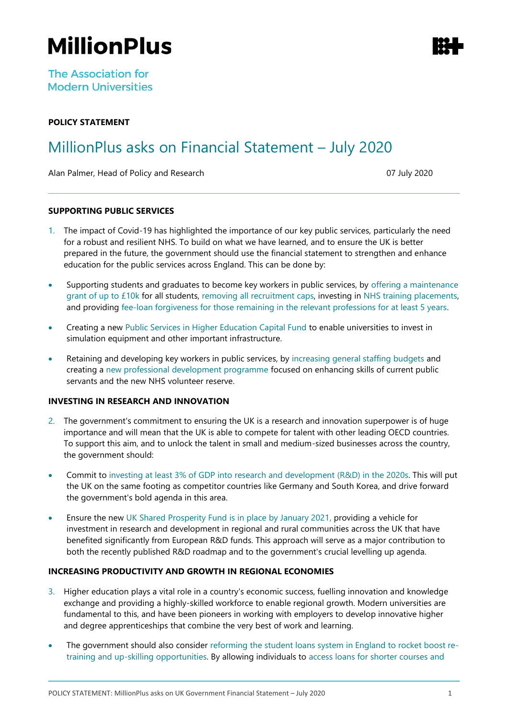# **MillionPlus**

**The Association for Modern Universities** 

## **POLICY STATEMENT**

# MillionPlus asks on Financial Statement – July 2020

Alan Palmer, Head of Policy and Research 07 July 2020

### **SUPPORTING PUBLIC SERVICES**

- 1. The impact of Covid-19 has highlighted the importance of our key public services, particularly the need for a robust and resilient NHS. To build on what we have learned, and to ensure the UK is better prepared in the future, the government should use the financial statement to strengthen and enhance education for the public services across England. This can be done by:
- Supporting students and graduates to become key workers in public services, by offering a maintenance grant of up to £10k for all students, removing all recruitment caps, investing in NHS training placements, and providing fee-loan forgiveness for those remaining in the relevant professions for at least 5 years.
- Creating a new Public Services in Higher Education Capital Fund to enable universities to invest in simulation equipment and other important infrastructure.
- Retaining and developing key workers in public services, by increasing general staffing budgets and creating a new professional development programme focused on enhancing skills of current public servants and the new NHS volunteer reserve.

#### **INVESTING IN RESEARCH AND INNOVATION**

- 2. The government's commitment to ensuring the UK is a research and innovation superpower is of huge importance and will mean that the UK is able to compete for talent with other leading OECD countries. To support this aim, and to unlock the talent in small and medium-sized businesses across the country, the government should:
- Commit to investing at least 3% of GDP into research and development (R&D) in the 2020s. This will put the UK on the same footing as competitor countries like Germany and South Korea, and drive forward the government's bold agenda in this area.
- Ensure the new UK Shared Prosperity Fund is in place by January 2021, providing a vehicle for investment in research and development in regional and rural communities across the UK that have benefited significantly from European R&D funds. This approach will serve as a major contribution to both the recently published R&D roadmap and to the government's crucial levelling up agenda.

#### **INCREASING PRODUCTIVITY AND GROWTH IN REGIONAL ECONOMIES**

- 3. Higher education plays a vital role in a country's economic success, fuelling innovation and knowledge exchange and providing a highly-skilled workforce to enable regional growth. Modern universities are fundamental to this, and have been pioneers in working with employers to develop innovative higher and degree apprenticeships that combine the very best of work and learning.
- The government should also consider reforming the student loans system in England to rocket boost retraining and up-skilling opportunities. By allowing individuals to access loans for shorter courses and